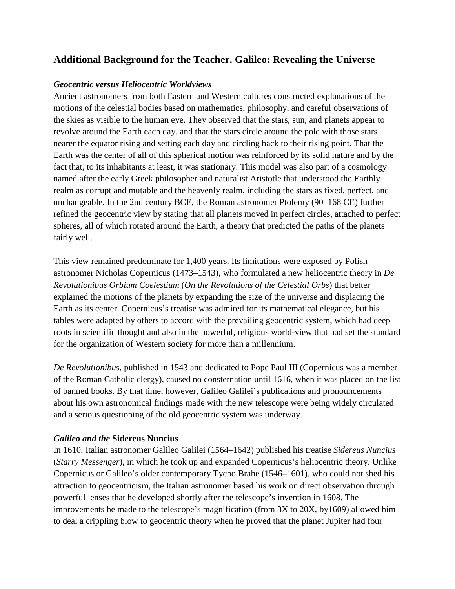## **Additional Background for the Teacher. Galileo: Revealing the Universe**

## *Geocentric versus Heliocentric Worldviews*

Ancient astronomers from both Eastern and Western cultures constructed explanations of the motions of the celestial bodies based on mathematics, philosophy, and careful observations of the skies as visible to the human eye. They observed that the stars, sun, and planets appear to revolve around the Earth each day, and that the stars circle around the pole with those stars nearer the equator rising and setting each day and circling back to their rising point. That the Earth was the center of all of this spherical motion was reinforced by its solid nature and by the fact that, to its inhabitants at least, it was stationary. This model was also part of a cosmology named after the early Greek philosopher and naturalist Aristotle that understood the Earthly realm as corrupt and mutable and the heavenly realm, including the stars as fixed, perfect, and unchangeable. In the 2nd century BCE, the Roman astronomer Ptolemy (90–168 CE) further refined the geocentric view by stating that all planets moved in perfect circles, attached to perfect spheres, all of which rotated around the Earth, a theory that predicted the paths of the planets fairly well.

This view remained predominate for 1,400 years. Its limitations were exposed by Polish astronomer Nicholas Copernicus (1473–1543), who formulated a new heliocentric theory in *De Revolutionibus Orbium Coelestium* (*On the Revolutions of the Celestial Orbs*) that better explained the motions of the planets by expanding the size of the universe and displacing the Earth as its center. Copernicus's treatise was admired for its mathematical elegance, but his tables were adapted by others to accord with the prevailing geocentric system, which had deep roots in scientific thought and also in the powerful, religious world-view that had set the standard for the organization of Western society for more than a millennium.

*De Revolutionibus*, published in 1543 and dedicated to Pope Paul III (Copernicus was a member of the Roman Catholic clergy), caused no consternation until 1616, when it was placed on the list of banned books. By that time, however, Galileo Galilei's publications and pronouncements about his own astronomical findings made with the new telescope were being widely circulated and a serious questioning of the old geocentric system was underway.

## *Galileo and the* **Sidereus Nuncius**

In 1610, Italian astronomer Galileo Galilei (1564–1642) published his treatise *Sidereus Nuncius* (*Starry Messenger*), in which he took up and expanded Copernicus's heliocentric theory. Unlike Copernicus or Galileo's older contemporary Tycho Brahe (1546–1601), who could not shed his attraction to geocentricism, the Italian astronomer based his work on direct observation through powerful lenses that he developed shortly after the telescope's invention in 1608. The improvements he made to the telescope's magnification (from 3X to 20X, by1609) allowed him to deal a crippling blow to geocentric theory when he proved that the planet Jupiter had four